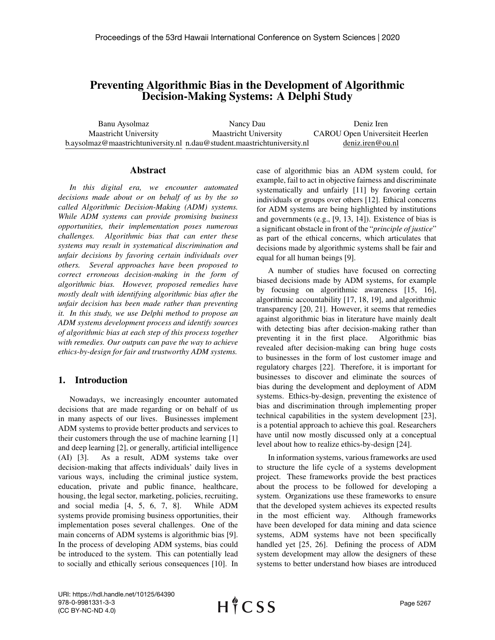# Preventing Algorithmic Bias in the Development of Algorithmic Decision-Making Systems: A Delphi Study

Banu Aysolmaz Maastricht University b.aysolmaz@maastrichtuniversity.nl n.dau@student.maastrichtuniversity.nl Nancy Dau Maastricht University Deniz Iren CAROU Open Universiteit Heerlen deniz.iren@ou.nl

### Abstract

*In this digital era, we encounter automated decisions made about or on behalf of us by the so called Algorithmic Decision-Making (ADM) systems. While ADM systems can provide promising business opportunities, their implementation poses numerous challenges. Algorithmic bias that can enter these systems may result in systematical discrimination and unfair decisions by favoring certain individuals over others. Several approaches have been proposed to correct erroneous decision-making in the form of algorithmic bias. However, proposed remedies have mostly dealt with identifying algorithmic bias after the unfair decision has been made rather than preventing it. In this study, we use Delphi method to propose an ADM systems development process and identify sources of algorithmic bias at each step of this process together with remedies. Our outputs can pave the way to achieve ethics-by-design for fair and trustworthy ADM systems.*

# 1. Introduction

Nowadays, we increasingly encounter automated decisions that are made regarding or on behalf of us in many aspects of our lives. Businesses implement ADM systems to provide better products and services to their customers through the use of machine learning [1] and deep learning [2], or generally, artificial intelligence (AI) [3]. As a result, ADM systems take over decision-making that affects individuals' daily lives in various ways, including the criminal justice system, education, private and public finance, healthcare, housing, the legal sector, marketing, policies, recruiting, and social media [4, 5, 6, 7, 8]. While ADM systems provide promising business opportunities, their implementation poses several challenges. One of the main concerns of ADM systems is algorithmic bias [9]. In the process of developing ADM systems, bias could be introduced to the system. This can potentially lead to socially and ethically serious consequences [10]. In case of algorithmic bias an ADM system could, for example, fail to act in objective fairness and discriminate systematically and unfairly [11] by favoring certain individuals or groups over others [12]. Ethical concerns for ADM systems are being highlighted by institutions and governments (e.g., [9, 13, 14]). Existence of bias is a significant obstacle in front of the "*principle of justice*" as part of the ethical concerns, which articulates that decisions made by algorithmic systems shall be fair and equal for all human beings [9].

A number of studies have focused on correcting biased decisions made by ADM systems, for example by focusing on algorithmic awareness [15, 16], algorithmic accountability [17, 18, 19], and algorithmic transparency [20, 21]. However, it seems that remedies against algorithmic bias in literature have mainly dealt with detecting bias after decision-making rather than preventing it in the first place. Algorithmic bias revealed after decision-making can bring huge costs to businesses in the form of lost customer image and regulatory charges [22]. Therefore, it is important for businesses to discover and eliminate the sources of bias during the development and deployment of ADM systems. Ethics-by-design, preventing the existence of bias and discrimination through implementing proper technical capabilities in the system development [23], is a potential approach to achieve this goal. Researchers have until now mostly discussed only at a conceptual level about how to realize ethics-by-design [24].

In information systems, various frameworks are used to structure the life cycle of a systems development project. These frameworks provide the best practices about the process to be followed for developing a system. Organizations use these frameworks to ensure that the developed system achieves its expected results in the most efficient way. Although frameworks have been developed for data mining and data science systems, ADM systems have not been specifically handled yet [25, 26]. Defining the process of ADM system development may allow the designers of these systems to better understand how biases are introduced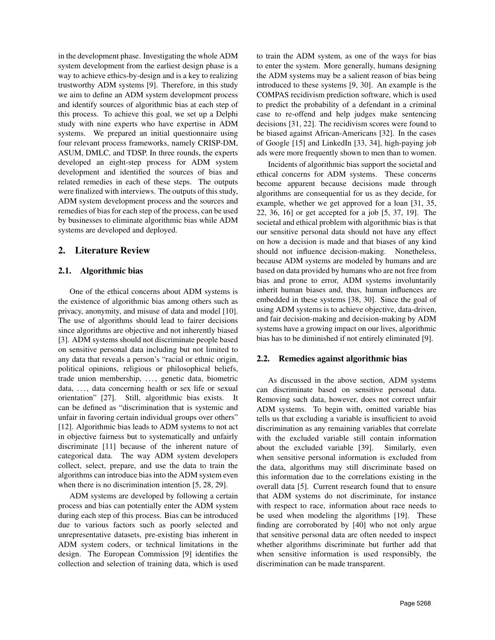in the development phase. Investigating the whole ADM system development from the earliest design phase is a way to achieve ethics-by-design and is a key to realizing trustworthy ADM systems [9]. Therefore, in this study we aim to define an ADM system development process and identify sources of algorithmic bias at each step of this process. To achieve this goal, we set up a Delphi study with nine experts who have expertise in ADM systems. We prepared an initial questionnaire using four relevant process frameworks, namely CRISP-DM, ASUM, DMLC, and TDSP. In three rounds, the experts developed an eight-step process for ADM system development and identified the sources of bias and related remedies in each of these steps. The outputs were finalized with interviews. The outputs of this study, ADM system development process and the sources and remedies of bias for each step of the process, can be used by businesses to eliminate algorithmic bias while ADM systems are developed and deployed.

# 2. Literature Review

### 2.1. Algorithmic bias

One of the ethical concerns about ADM systems is the existence of algorithmic bias among others such as privacy, anonymity, and misuse of data and model [10]. The use of algorithms should lead to fairer decisions since algorithms are objective and not inherently biased [3]. ADM systems should not discriminate people based on sensitive personal data including but not limited to any data that reveals a person's "racial or ethnic origin, political opinions, religious or philosophical beliefs, trade union membership, ..., genetic data, biometric data, ..., data concerning health or sex life or sexual orientation" [27]. Still, algorithmic bias exists. It can be defined as "discrimination that is systemic and unfair in favoring certain individual groups over others" [12]. Algorithmic bias leads to ADM systems to not act in objective fairness but to systematically and unfairly discriminate [11] because of the inherent nature of categorical data. The way ADM system developers collect, select, prepare, and use the data to train the algorithms can introduce bias into the ADM system even when there is no discrimination intention [5, 28, 29].

ADM systems are developed by following a certain process and bias can potentially enter the ADM system during each step of this process. Bias can be introduced due to various factors such as poorly selected and unrepresentative datasets, pre-existing bias inherent in ADM system coders, or technical limitations in the design. The European Commission [9] identifies the collection and selection of training data, which is used

to train the ADM system, as one of the ways for bias to enter the system. More generally, humans designing the ADM systems may be a salient reason of bias being introduced to these systems [9, 30]. An example is the COMPAS recidivism prediction software, which is used to predict the probability of a defendant in a criminal case to re-offend and help judges make sentencing decisions [31, 22]. The recidivism scores were found to be biased against African-Americans [32]. In the cases of Google [15] and LinkedIn [33, 34], high-paying job ads were more frequently shown to men than to women.

Incidents of algorithmic bias support the societal and ethical concerns for ADM systems. These concerns become apparent because decisions made through algorithms are consequential for us as they decide, for example, whether we get approved for a loan [31, 35, 22, 36, 16] or get accepted for a job [5, 37, 19]. The societal and ethical problem with algorithmic bias is that our sensitive personal data should not have any effect on how a decision is made and that biases of any kind should not influence decision-making. Nonetheless, because ADM systems are modeled by humans and are based on data provided by humans who are not free from bias and prone to error, ADM systems involuntarily inherit human biases and, thus, human influences are embedded in these systems [38, 30]. Since the goal of using ADM systems is to achieve objective, data-driven, and fair decision-making and decision-making by ADM systems have a growing impact on our lives, algorithmic bias has to be diminished if not entirely eliminated [9].

### 2.2. Remedies against algorithmic bias

As discussed in the above section, ADM systems can discriminate based on sensitive personal data. Removing such data, however, does not correct unfair ADM systems. To begin with, omitted variable bias tells us that excluding a variable is insufficient to avoid discrimination as any remaining variables that correlate with the excluded variable still contain information about the excluded variable [39]. Similarly, even when sensitive personal information is excluded from the data, algorithms may still discriminate based on this information due to the correlations existing in the overall data [5]. Current research found that to ensure that ADM systems do not discriminate, for instance with respect to race, information about race needs to be used when modeling the algorithms [19]. These finding are corroborated by [40] who not only argue that sensitive personal data are often needed to inspect whether algorithms discriminate but further add that when sensitive information is used responsibly, the discrimination can be made transparent.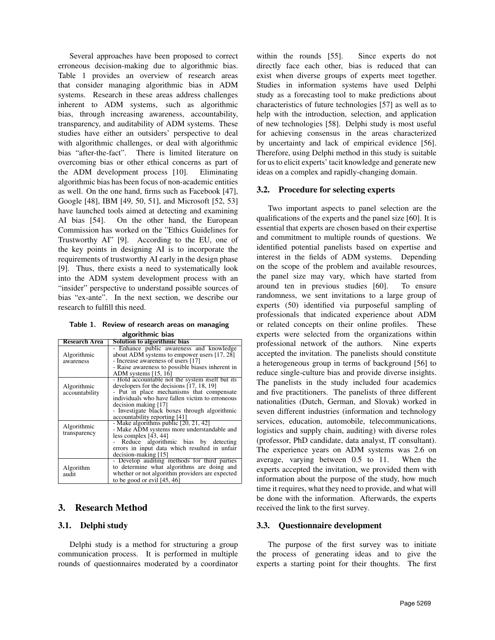Several approaches have been proposed to correct erroneous decision-making due to algorithmic bias. Table 1 provides an overview of research areas that consider managing algorithmic bias in ADM systems. Research in these areas address challenges inherent to ADM systems, such as algorithmic bias, through increasing awareness, accountability, transparency, and auditability of ADM systems. These studies have either an outsiders' perspective to deal with algorithmic challenges, or deal with algorithmic bias "after-the-fact". There is limited literature on overcoming bias or other ethical concerns as part of the ADM development process [10]. Eliminating algorithmic bias has been focus of non-academic entities as well. On the one hand, firms such as Facebook [47], Google [48], IBM [49, 50, 51], and Microsoft [52, 53] have launched tools aimed at detecting and examining AI bias [54]. On the other hand, the European Commission has worked on the "Ethics Guidelines for Trustworthy AI" [9]. According to the EU, one of the key points in designing AI is to incorporate the requirements of trustworthy AI early in the design phase [9]. Thus, there exists a need to systematically look into the ADM system development process with an "insider" perspective to understand possible sources of bias "ex-ante". In the next section, we describe our research to fulfill this need.

Table 1. Review of research areas on managing algorithmic hias

| was and when<br>Solution to algorithmic bias     |  |  |  |  |
|--------------------------------------------------|--|--|--|--|
|                                                  |  |  |  |  |
| - Enhance public awareness and knowledge         |  |  |  |  |
| about ADM systems to empower users [17, 28]      |  |  |  |  |
|                                                  |  |  |  |  |
| - Raise awareness to possible biases inherent in |  |  |  |  |
|                                                  |  |  |  |  |
| - Hold accountable not the system itself but its |  |  |  |  |
|                                                  |  |  |  |  |
| - Put in place mechanisms that compensate        |  |  |  |  |
| individuals who have fallen victim to erroneous  |  |  |  |  |
|                                                  |  |  |  |  |
| - Investigate black boxes through algorithmic    |  |  |  |  |
|                                                  |  |  |  |  |
|                                                  |  |  |  |  |
| - Make ADM systems more understandable and       |  |  |  |  |
|                                                  |  |  |  |  |
| Reduce algorithmic bias by detecting             |  |  |  |  |
| errors in input data which resulted in unfair    |  |  |  |  |
|                                                  |  |  |  |  |
| - Develop auditing methods for third parties     |  |  |  |  |
| to determine what algorithms are doing and       |  |  |  |  |
| whether or not algorithm providers are expected  |  |  |  |  |
|                                                  |  |  |  |  |
|                                                  |  |  |  |  |

# 3. Research Method

### 3.1. Delphi study

Delphi study is a method for structuring a group communication process. It is performed in multiple rounds of questionnaires moderated by a coordinator within the rounds [55]. Since experts do not directly face each other, bias is reduced that can exist when diverse groups of experts meet together. Studies in information systems have used Delphi study as a forecasting tool to make predictions about characteristics of future technologies [57] as well as to help with the introduction, selection, and application of new technologies [58]. Delphi study is most useful for achieving consensus in the areas characterized by uncertainty and lack of empirical evidence [56]. Therefore, using Delphi method in this study is suitable for us to elicit experts' tacit knowledge and generate new ideas on a complex and rapidly-changing domain.

### 3.2. Procedure for selecting experts

Two important aspects to panel selection are the qualifications of the experts and the panel size [60]. It is essential that experts are chosen based on their expertise and commitment to multiple rounds of questions. We identified potential panelists based on expertise and interest in the fields of ADM systems. Depending on the scope of the problem and available resources, the panel size may vary, which have started from around ten in previous studies [60]. To ensure randomness, we sent invitations to a large group of experts (50) identified via purposeful sampling of professionals that indicated experience about ADM or related concepts on their online profiles. These experts were selected from the organizations within professional network of the authors. Nine experts accepted the invitation. The panelists should constitute a heterogeneous group in terms of background [56] to reduce single-culture bias and provide diverse insights. The panelists in the study included four academics and five practitioners. The panelists of three different nationalities (Dutch, German, and Slovak) worked in seven different industries (information and technology services, education, automobile, telecommunications, logistics and supply chain, auditing) with diverse roles (professor, PhD candidate, data analyst, IT consultant). The experience years on ADM systems was 2.6 on average, varying between 0.5 to 11. When the experts accepted the invitation, we provided them with information about the purpose of the study, how much time it requires, what they need to provide, and what will be done with the information. Afterwards, the experts received the link to the first survey.

### 3.3. Questionnaire development

The purpose of the first survey was to initiate the process of generating ideas and to give the experts a starting point for their thoughts. The first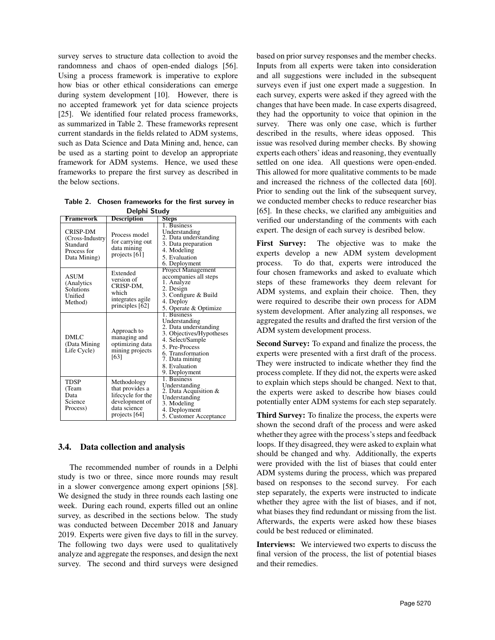survey serves to structure data collection to avoid the randomness and chaos of open-ended dialogs [56]. Using a process framework is imperative to explore how bias or other ethical considerations can emerge during system development [10]. However, there is no accepted framework yet for data science projects [25]. We identified four related process frameworks, as summarized in Table 2. These frameworks represent current standards in the fields related to ADM systems, such as Data Science and Data Mining and, hence, can be used as a starting point to develop an appropriate framework for ADM systems. Hence, we used these frameworks to prepare the first survey as described in the below sections.

Table 2. Chosen frameworks for the first survey in Delphi Study

| Deiphi Juuuy                                                                   |                                                                                                          |                                                                                                                                                                                                  |  |  |
|--------------------------------------------------------------------------------|----------------------------------------------------------------------------------------------------------|--------------------------------------------------------------------------------------------------------------------------------------------------------------------------------------------------|--|--|
| Framework                                                                      | <b>Description</b>                                                                                       | <b>Steps</b>                                                                                                                                                                                     |  |  |
| <b>CRISP-DM</b><br>(Cross-Industry)<br>Standard<br>Process for<br>Data Mining) | Process model<br>for carrying out<br>data mining<br>projects [61]                                        | 1. Business<br>Understanding<br>2. Data understanding<br>3. Data preparation<br>4. Modeling<br>5. Evaluation<br>6. Deployment                                                                    |  |  |
| ASUM<br>(Analytics)<br>Solutions<br>Unified<br>Method)                         | Extended<br>version of<br>CRISP-DM,<br>which<br>integrates agile<br>principles [62]                      | Project Management<br>accompanies all steps<br>1. Analyze<br>2. Design<br>3. Configure & Build<br>4. Deploy<br>5. Operate & Optimize                                                             |  |  |
| DMLC<br>(Data Mining<br>Life Cycle)                                            | Approach to<br>managing and<br>optimizing data<br>mining projects<br>[63]                                | 1. Business<br>Understanding<br>2. Data understanding<br>3. Objectives/Hypotheses<br>4. Select/Sample<br>5. Pre-Process<br>6. Transformation<br>7. Data mining<br>8. Evaluation<br>9. Deployment |  |  |
| <b>TDSP</b><br>(Team<br>Data<br>Science<br>Process)                            | Methodology<br>that provides a<br>lifecycle for the<br>development of<br>data science<br>projects $[64]$ | 1. Business<br>Understanding<br>2. Data Acquisition &<br>Understanding<br>3. Modeling<br>4. Deployment<br>5. Customer Acceptance                                                                 |  |  |

# 3.4. Data collection and analysis

The recommended number of rounds in a Delphi study is two or three, since more rounds may result in a slower convergence among expert opinions [58]. We designed the study in three rounds each lasting one week. During each round, experts filled out an online survey, as described in the sections below. The study was conducted between December 2018 and January 2019. Experts were given five days to fill in the survey. The following two days were used to qualitatively analyze and aggregate the responses, and design the next survey. The second and third surveys were designed based on prior survey responses and the member checks. Inputs from all experts were taken into consideration and all suggestions were included in the subsequent surveys even if just one expert made a suggestion. In each survey, experts were asked if they agreed with the changes that have been made. In case experts disagreed, they had the opportunity to voice that opinion in the survey. There was only one case, which is further described in the results, where ideas opposed. This issue was resolved during member checks. By showing experts each others' ideas and reasoning, they eventually settled on one idea. All questions were open-ended. This allowed for more qualitative comments to be made and increased the richness of the collected data [60]. Prior to sending out the link of the subsequent survey, we conducted member checks to reduce researcher bias [65]. In these checks, we clarified any ambiguities and verified our understanding of the comments with each expert. The design of each survey is desribed below.

First Survey: The objective was to make the experts develop a new ADM system development process. To do that, experts were introduced the four chosen frameworks and asked to evaluate which steps of these frameworks they deem relevant for ADM systems, and explain their choice. Then, they were required to describe their own process for ADM system development. After analyzing all responses, we aggregated the results and drafted the first version of the ADM system development process.

Second Survey: To expand and finalize the process, the experts were presented with a first draft of the process. They were instructed to indicate whether they find the process complete. If they did not, the experts were asked to explain which steps should be changed. Next to that, the experts were asked to describe how biases could potentially enter ADM systems for each step separately.

Third Survey: To finalize the process, the experts were shown the second draft of the process and were asked whether they agree with the process's steps and feedback loops. If they disagreed, they were asked to explain what should be changed and why. Additionally, the experts were provided with the list of biases that could enter ADM systems during the process, which was prepared based on responses to the second survey. For each step separately, the experts were instructed to indicate whether they agree with the list of biases, and if not, what biases they find redundant or missing from the list. Afterwards, the experts were asked how these biases could be best reduced or eliminated.

Interviews: We interviewed two experts to discuss the final version of the process, the list of potential biases and their remedies.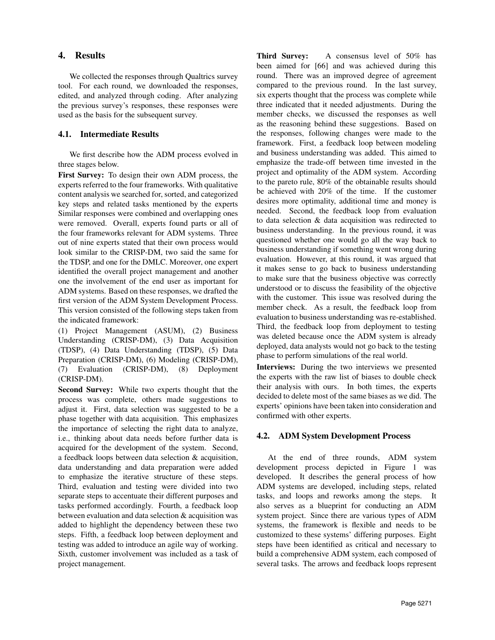# 4. Results

We collected the responses through Qualtrics survey tool. For each round, we downloaded the responses, edited, and analyzed through coding. After analyzing the previous survey's responses, these responses were used as the basis for the subsequent survey.

# 4.1. Intermediate Results

We first describe how the ADM process evolved in three stages below.

First Survey: To design their own ADM process, the experts referred to the four frameworks. With qualitative content analysis we searched for, sorted, and categorized key steps and related tasks mentioned by the experts Similar responses were combined and overlapping ones were removed. Overall, experts found parts or all of the four frameworks relevant for ADM systems. Three out of nine experts stated that their own process would look similar to the CRISP-DM, two said the same for the TDSP, and one for the DMLC. Moreover, one expert identified the overall project management and another one the involvement of the end user as important for ADM systems. Based on these responses, we drafted the first version of the ADM System Development Process. This version consisted of the following steps taken from the indicated framework:

(1) Project Management (ASUM), (2) Business Understanding (CRISP-DM), (3) Data Acquisition (TDSP), (4) Data Understanding (TDSP), (5) Data Preparation (CRISP-DM), (6) Modeling (CRISP-DM), (7) Evaluation (CRISP-DM), (8) Deployment (CRISP-DM).

Second Survey: While two experts thought that the process was complete, others made suggestions to adjust it. First, data selection was suggested to be a phase together with data acquisition. This emphasizes the importance of selecting the right data to analyze, i.e., thinking about data needs before further data is acquired for the development of the system. Second, a feedback loops between data selection & acquisition, data understanding and data preparation were added to emphasize the iterative structure of these steps. Third, evaluation and testing were divided into two separate steps to accentuate their different purposes and tasks performed accordingly. Fourth, a feedback loop between evaluation and data selection & acquisition was added to highlight the dependency between these two steps. Fifth, a feedback loop between deployment and testing was added to introduce an agile way of working. Sixth, customer involvement was included as a task of project management.

Third Survey: A consensus level of 50% has been aimed for [66] and was achieved during this round. There was an improved degree of agreement compared to the previous round. In the last survey, six experts thought that the process was complete while three indicated that it needed adjustments. During the member checks, we discussed the responses as well as the reasoning behind these suggestions. Based on the responses, following changes were made to the framework. First, a feedback loop between modeling and business understanding was added. This aimed to emphasize the trade-off between time invested in the project and optimality of the ADM system. According to the pareto rule, 80% of the obtainable results should be achieved with 20% of the time. If the customer desires more optimality, additional time and money is needed. Second, the feedback loop from evaluation to data selection & data acquisition was redirected to business understanding. In the previous round, it was questioned whether one would go all the way back to business understanding if something went wrong during evaluation. However, at this round, it was argued that it makes sense to go back to business understanding to make sure that the business objective was correctly understood or to discuss the feasibility of the objective with the customer. This issue was resolved during the member check. As a result, the feedback loop from evaluation to business understanding was re-established. Third, the feedback loop from deployment to testing was deleted because once the ADM system is already deployed, data analysts would not go back to the testing phase to perform simulations of the real world.

Interviews: During the two interviews we presented the experts with the raw list of biases to double check their analysis with ours. In both times, the experts decided to delete most of the same biases as we did. The experts' opinions have been taken into consideration and confirmed with other experts.

# 4.2. ADM System Development Process

At the end of three rounds, ADM system development process depicted in Figure 1 was developed. It describes the general process of how ADM systems are developed, including steps, related tasks, and loops and reworks among the steps. It also serves as a blueprint for conducting an ADM system project. Since there are various types of ADM systems, the framework is flexible and needs to be customized to these systems' differing purposes. Eight steps have been identified as critical and necessary to build a comprehensive ADM system, each composed of several tasks. The arrows and feedback loops represent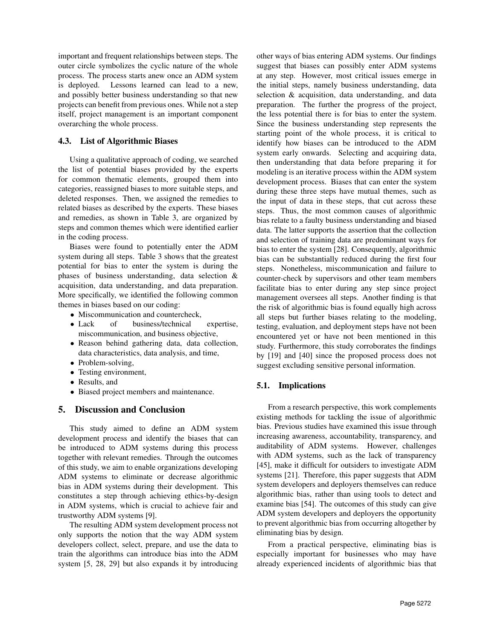important and frequent relationships between steps. The outer circle symbolizes the cyclic nature of the whole process. The process starts anew once an ADM system is deployed. Lessons learned can lead to a new, and possibly better business understanding so that new projects can benefit from previous ones. While not a step itself, project management is an important component overarching the whole process.

### 4.3. List of Algorithmic Biases

Using a qualitative approach of coding, we searched the list of potential biases provided by the experts for common thematic elements, grouped them into categories, reassigned biases to more suitable steps, and deleted responses. Then, we assigned the remedies to related biases as described by the experts. These biases and remedies, as shown in Table 3, are organized by steps and common themes which were identified earlier in the coding process.

Biases were found to potentially enter the ADM system during all steps. Table 3 shows that the greatest potential for bias to enter the system is during the phases of business understanding, data selection & acquisition, data understanding, and data preparation. More specifically, we identified the following common themes in biases based on our coding:

- Miscommunication and countercheck.
- Lack of business/technical expertise, miscommunication, and business objective,
- Reason behind gathering data, data collection, data characteristics, data analysis, and time,
- Problem-solving,
- Testing environment,
- Results, and
- Biased project members and maintenance.

### 5. Discussion and Conclusion

This study aimed to define an ADM system development process and identify the biases that can be introduced to ADM systems during this process together with relevant remedies. Through the outcomes of this study, we aim to enable organizations developing ADM systems to eliminate or decrease algorithmic bias in ADM systems during their development. This constitutes a step through achieving ethics-by-design in ADM systems, which is crucial to achieve fair and trustworthy ADM systems [9].

The resulting ADM system development process not only supports the notion that the way ADM system developers collect, select, prepare, and use the data to train the algorithms can introduce bias into the ADM system [5, 28, 29] but also expands it by introducing other ways of bias entering ADM systems. Our findings suggest that biases can possibly enter ADM systems at any step. However, most critical issues emerge in the initial steps, namely business understanding, data selection & acquisition, data understanding, and data preparation. The further the progress of the project, the less potential there is for bias to enter the system. Since the business understanding step represents the starting point of the whole process, it is critical to identify how biases can be introduced to the ADM system early onwards. Selecting and acquiring data, then understanding that data before preparing it for modeling is an iterative process within the ADM system development process. Biases that can enter the system during these three steps have mutual themes, such as the input of data in these steps, that cut across these steps. Thus, the most common causes of algorithmic bias relate to a faulty business understanding and biased data. The latter supports the assertion that the collection and selection of training data are predominant ways for bias to enter the system [28]. Consequently, algorithmic bias can be substantially reduced during the first four steps. Nonetheless, miscommunication and failure to counter-check by supervisors and other team members facilitate bias to enter during any step since project management oversees all steps. Another finding is that the risk of algorithmic bias is found equally high across all steps but further biases relating to the modeling, testing, evaluation, and deployment steps have not been encountered yet or have not been mentioned in this study. Furthermore, this study corroborates the findings by [19] and [40] since the proposed process does not suggest excluding sensitive personal information.

### 5.1. Implications

From a research perspective, this work complements existing methods for tackling the issue of algorithmic bias. Previous studies have examined this issue through increasing awareness, accountability, transparency, and auditability of ADM systems. However, challenges with ADM systems, such as the lack of transparency [45], make it difficult for outsiders to investigate ADM systems [21]. Therefore, this paper suggests that ADM system developers and deployers themselves can reduce algorithmic bias, rather than using tools to detect and examine bias [54]. The outcomes of this study can give ADM system developers and deployers the opportunity to prevent algorithmic bias from occurring altogether by eliminating bias by design.

From a practical perspective, eliminating bias is especially important for businesses who may have already experienced incidents of algorithmic bias that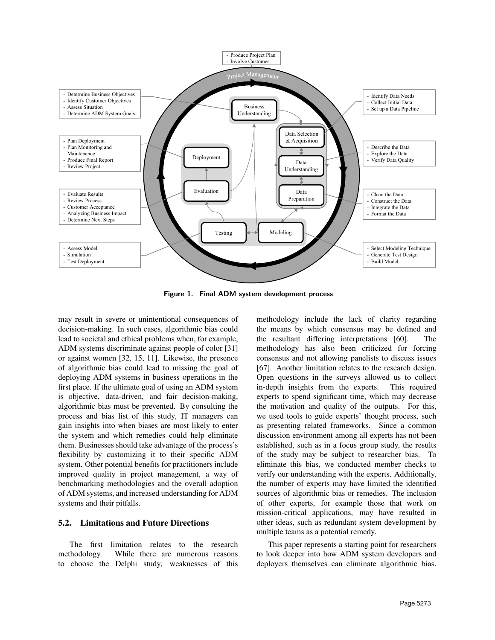

Figure 1. Final ADM system development process

may result in severe or unintentional consequences of decision-making. In such cases, algorithmic bias could lead to societal and ethical problems when, for example, ADM systems discriminate against people of color [31] or against women [32, 15, 11]. Likewise, the presence of algorithmic bias could lead to missing the goal of deploying ADM systems in business operations in the first place. If the ultimate goal of using an ADM system is objective, data-driven, and fair decision-making, algorithmic bias must be prevented. By consulting the process and bias list of this study, IT managers can gain insights into when biases are most likely to enter the system and which remedies could help eliminate them. Businesses should take advantage of the process's flexibility by customizing it to their specific ADM system. Other potential benefits for practitioners include improved quality in project management, a way of benchmarking methodologies and the overall adoption of ADM systems, and increased understanding for ADM systems and their pitfalls.

#### 5.2. Limitations and Future Directions

The first limitation relates to the research methodology. While there are numerous reasons to choose the Delphi study, weaknesses of this

methodology include the lack of clarity regarding the means by which consensus may be defined and the resultant differing interpretations [60]. The methodology has also been criticized for forcing consensus and not allowing panelists to discuss issues [67]. Another limitation relates to the research design. Open questions in the surveys allowed us to collect in-depth insights from the experts. This required experts to spend significant time, which may decrease the motivation and quality of the outputs. For this, we used tools to guide experts' thought process, such as presenting related frameworks. Since a common discussion environment among all experts has not been established, such as in a focus group study, the results of the study may be subject to researcher bias. To eliminate this bias, we conducted member checks to verify our understanding with the experts. Additionally, the number of experts may have limited the identified sources of algorithmic bias or remedies. The inclusion of other experts, for example those that work on mission-critical applications, may have resulted in other ideas, such as redundant system development by multiple teams as a potential remedy.

This paper represents a starting point for researchers to look deeper into how ADM system developers and deployers themselves can eliminate algorithmic bias.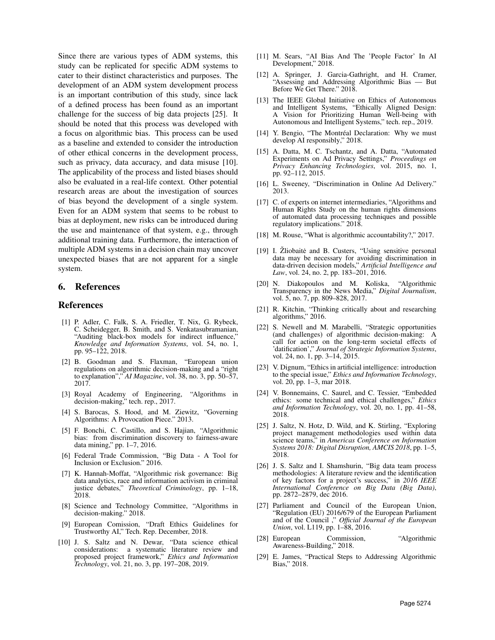Since there are various types of ADM systems, this study can be replicated for specific ADM systems to cater to their distinct characteristics and purposes. The development of an ADM system development process is an important contribution of this study, since lack of a defined process has been found as an important challenge for the success of big data projects [25]. It should be noted that this process was developed with a focus on algorithmic bias. This process can be used as a baseline and extended to consider the introduction of other ethical concerns in the development process, such as privacy, data accuracy, and data misuse [10]. The applicability of the process and listed biases should also be evaluated in a real-life context. Other potential research areas are about the investigation of sources of bias beyond the development of a single system. Even for an ADM system that seems to be robust to bias at deployment, new risks can be introduced during the use and maintenance of that system, e.g., through additional training data. Furthermore, the interaction of multiple ADM systems in a decision chain may uncover unexpected biases that are not apparent for a single system.

#### 6. References

#### References

- [1] P. Adler, C. Falk, S. A. Friedler, T. Nix, G. Rybeck, C. Scheidegger, B. Smith, and S. Venkatasubramanian, "Auditing black-box models for indirect influence, *Knowledge and Information Systems*, vol. 54, no. 1, pp. 95–122, 2018.
- [2] B. Goodman and S. Flaxman, "European union regulations on algorithmic decision-making and a "right to explanation"," *AI Magazine*, vol. 38, no. 3, pp. 50–57, 2017.
- [3] Royal Academy of Engineering, "Algorithms in decision-making," tech. rep., 2017.
- [4] S. Barocas, S. Hood, and M. Ziewitz, "Governing Algorithms: A Provocation Piece." 2013.
- [5] F. Bonchi, C. Castillo, and S. Hajian, "Algorithmic bias: from discrimination discovery to fairness-aware data mining," pp. 1–7, 2016.
- [6] Federal Trade Commission, "Big Data A Tool for Inclusion or Exclusion." 2016.
- [7] K. Hannah-Moffat, "Algorithmic risk governance: Big data analytics, race and information activism in criminal justice debates," *Theoretical Criminology*, pp. 1–18, 2018.
- [8] Science and Technology Committee, "Algorithms in decision-making." 2018.
- [9] European Comission, "Draft Ethics Guidelines for Trustworthy AI," Tech. Rep. December, 2018.
- [10] J. S. Saltz and N. Dewar, "Data science ethical considerations: a systematic literature review and proposed project framework," *Ethics and Information Technology*, vol. 21, no. 3, pp. 197–208, 2019.
- [11] M. Sears, "AI Bias And The 'People Factor' In AI Development," 2018.
- [12] A. Springer, J. Garcia-Gathright, and H. Cramer, "Assessing and Addressing Algorithmic Bias — But Before We Get There." 2018.
- [13] The IEEE Global Initiative on Ethics of Autonomous and Intelligent Systems, "Ethically Aligned Design: A Vision for Prioritizing Human Well-being with Autonomous and Intelligent Systems," tech. rep., 2019.
- [14] Y. Bengio, "The Montréal Declaration: Why we must develop AI responsibly," 2018.
- [15] A. Datta, M. C. Tschantz, and A. Datta, "Automated Experiments on Ad Privacy Settings," *Proceedings on Privacy Enhancing Technologies*, vol. 2015, no. 1, pp. 92–112, 2015.
- [16] L. Sweeney, "Discrimination in Online Ad Delivery." 2013.
- [17] C. of experts on internet intermediaries, "Algorithms and Human Rights Study on the human rights dimensions of automated data processing techniques and possible regulatory implications." 2018.
- [18] M. Rouse, "What is algorithmic accountability?," 2017.
- [19] I. Zliobaite and B. Custers, "Using sensitive personal data may be necessary for avoiding discrimination in data-driven decision models," *Artificial Intelligence and Law*, vol. 24, no. 2, pp. 183–201, 2016.
- [20] N. Diakopoulos and M. Koliska, "Algorithmic Transparency in the News Media," *Digital Journalism*, vol. 5, no. 7, pp. 809–828, 2017.
- [21] R. Kitchin, "Thinking critically about and researching algorithms," 2016.
- [22] S. Newell and M. Marabelli, "Strategic opportunities (and challenges) of algorithmic decision-making: A call for action on the long-term societal effects of 'datification'," *Journal of Strategic Information Systems*, vol. 24, no. 1, pp. 3–14, 2015.
- [23] V. Dignum, "Ethics in artificial intelligence: introduction to the special issue," *Ethics and Information Technology*, vol. 20, pp. 1–3, mar 2018.
- [24] V. Bonnemains, C. Saurel, and C. Tessier, "Embedded ethics: some technical and ethical challenges," *Ethics and Information Technology*, vol. 20, no. 1, pp. 41–58, 2018.
- [25] J. Saltz, N. Hotz, D. Wild, and K. Stirling, "Exploring project management methodologies used within data science teams," in *Americas Conference on Information Systems 2018: Digital Disruption, AMCIS 2018*, pp. 1–5, 2018.
- [26] J. S. Saltz and I. Shamshurin, "Big data team process methodologies: A literature review and the identification of key factors for a project's success," in *2016 IEEE International Conference on Big Data (Big Data)*, pp. 2872–2879, dec 2016.
- [27] Parliament and Council of the European Union, "Regulation (EU) 2016/679 of the European Parliament and of the Council ," *Official Journal of the European Union*, vol. L119, pp. 1–88, 2016.
- [28] European Commission, "Algorithmic Awareness-Building," 2018.
- [29] E. James, "Practical Steps to Addressing Algorithmic Bias," 2018.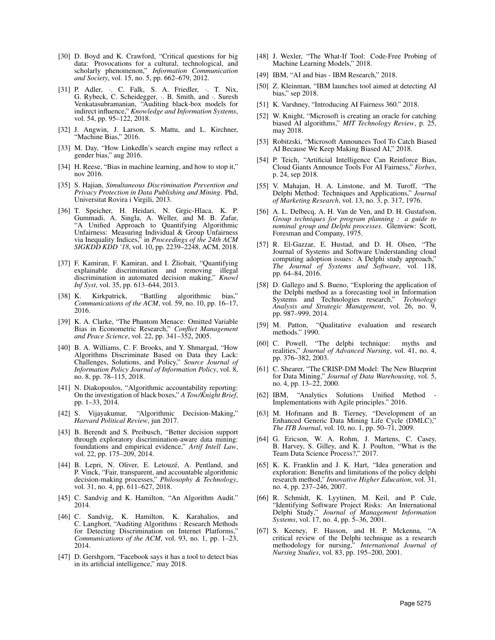- [30] D. Boyd and K. Crawford, "Critical questions for big data: Provocations for a cultural, technological, and scholarly phenomenon," *Information Communication and Society*, vol. 15, no. 5, pp. 662–679, 2012.
- [31] P. Adler, . C. Falk, S. A. Friedler, . T. Nix, G. Rybeck, C. Scheidegger, ·. B. Smith, and ·. Suresh Venkatasubramanian, "Auditing black-box models for indirect influence," *Knowledge and Information Systems*, vol. 54, pp. 95–122, 2018.
- [32] J. Angwin, J. Larson, S. Mattu, and L. Kirchner, "Machine Bias," 2016.
- [33] M. Day, "How LinkedIn's search engine may reflect a gender bias," aug 2016.
- [34] H. Reese, "Bias in machine learning, and how to stop it," nov 2016.
- [35] S. Hajian, *Simultaneous Discrimination Prevention and Privacy Protection in Data Publishing and Mining*. Phd, Universitat Rovira i Virgili, 2013.
- [36] T. Speicher, H. Heidari, N. Grgic-Hlaca, K. P. Gummadi, A. Singla, A. Weller, and M. B. Zafar, "A Unified Approach to Quantifying Algorithmic Unfairness: Measuring Individual & Group Unfairness via Inequality Indices," in *Proceedings of the 24th ACM SIGKDD KDD '18*, vol. 10, pp. 2239–2248, ACM, 2018.
- [37] F. Kamiran, F. Kamiran, and I. Žliobait, "Quantifying explainable discrimination and removing illegal discrimination in automated decision making," *Knowl Inf Syst*, vol. 35, pp. 613–644, 2013.
- [38] K. Kirkpatrick, "Battling algorithmic bias," *Communications of the ACM*, vol. 59, no. 10, pp. 16–17, 2016.
- [39] K. A. Clarke, "The Phantom Menace: Omitted Variable Bias in Econometric Research," *Conflict Management and Peace Science*, vol. 22, pp. 341–352, 2005.
- [40] B. A. Williams, C. F. Brooks, and Y. Shmargad, "How Algorithms Discriminate Based on Data they Lack: Challenges, Solutions, and Policy," *Source Journal of Information Policy Journal of Information Policy*, vol. 8, no. 8, pp. 78–115, 2018.
- [41] N. Diakopoulos, "Algorithmic accountability reporting: On the investigation of black boxes," *A Tow/Knight Brief*, pp. 1–33, 2014.
- [42] S. Vijayakumar, "Algorithmic Decision-Making," *Harvard Political Review*, jun 2017.
- [43] B. Berendt and S. Preibusch, "Better decision support through exploratory discrimination-aware data mining: foundations and empirical evidence," *Artif Intell Law*, vol. 22, pp. 175–209, 2014.
- [44] B. Lepri, N. Oliver, E. Letouzé, A. Pentland, and P. Vinck, "Fair, transparent, and accountable algorithmic decision-making processes," *Philosophy & Technology*, vol. 31, no. 4, pp. 611–627, 2018.
- [45] C. Sandvig and K. Hamilton, "An Algorithm Audit." 2014.
- [46] C. Sandvig, K. Hamilton, K. Karahalios, and C. Langbort, "Auditing Algorithms : Research Methods for Detecting Discrimination on Internet Platforms," *Communications of the ACM*, vol. 93, no. 1, pp. 1–23, 2014.
- [47] D. Gershgorn, "Facebook says it has a tool to detect bias in its artificial intelligence," may 2018.
- [48] J. Wexler, "The What-If Tool: Code-Free Probing of Machine Learning Models," 2018.
- [49] IBM, "AI and bias IBM Research," 2018.
- [50] Z. Kleinman, "IBM launches tool aimed at detecting AI bias," sep 2018.
- [51] K. Varshney, "Introducing AI Fairness 360." 2018.
- [52] W. Knight, "Microsoft is creating an oracle for catching biased AI algorithms," *MIT Technology Review*, p. 25, may 2018.
- [53] Robitzski, "Microsoft Announces Tool To Catch Biased AI Because We Keep Making Biased AI," 2018.
- [54] P. Teich, "Artificial Intelligence Can Reinforce Bias, Cloud Giants Announce Tools For AI Fairness," *Forbes*, p. 24, sep 2018.
- [55] V. Mahajan, H. A. Linstone, and M. Turoff, "The Delphi Method: Techniques and Applications," *Journal of Marketing Research*, vol. 13, no. 3, p. 317, 1976.
- [56] A. L. Delbecq, A. H. Van de Ven, and D. H. Gustafson, *Group techniques for program planning : a guide to nominal group and Delphi processes*. Glenview: Scott, Foresman and Company, 1975.
- [57] R. El-Gazzar, E. Hustad, and D. H. Olsen, "The Journal of Systems and Software Understanding cloud computing adoption issues: A Delphi study approach," *The Journal of Systems and Software*, vol. 118, pp. 64–84, 2016.
- [58] D. Gallego and S. Bueno, "Exploring the application of the Delphi method as a forecasting tool in Information Systems and Technologies research," *Technology Analysis and Strategic Management*, vol. 26, no. 9, pp. 987–999, 2014.
- [59] M. Patton, "Qualitative evaluation and research methods." 1990.
- [60] C. Powell, "The delphi technique: myths and realities," *Journal of Advanced Nursing*, vol. 41, no. 4, pp. 376–382, 2003.
- [61] C. Shearer, "The CRISP-DM Model: The New Blueprint for Data Mining," *Journal of Data Warehousing*, vol. 5, no. 4, pp. 13–22, 2000.
- [62] IBM, "Analytics Solutions Unified Method Implementations with Agile principles." 2016.
- [63] M. Hofmann and B. Tierney, "Development of an Enhanced Generic Data Mining Life Cycle (DMLC)," *The ITB Journal*, vol. 10, no. 1, pp. 50–71, 2009.
- [64] G. Ericson, W. A. Rohm, J. Martens, C. Casey, B. Harvey, S. Gilley, and K. J. Poulton, "What is the Team Data Science Process?," 2017.
- [65] K. K. Franklin and J. K. Hart, "Idea generation and exploration: Benefits and limitations of the policy delphi research method," *Innovative Higher Education*, vol. 31, no. 4, pp. 237–246, 2007.
- [66] R. Schmidt, K. Lyytinen, M. Keil, and P. Cule, "Identifying Software Project Risks: An International Delphi Study," *Journal of Management Information Systems*, vol. 17, no. 4, pp. 5–36, 2001.
- [67] S. Keeney, F. Hasson, and H. P. Mckenna, "A critical review of the Delphi technique as a research methodology for nursing," *International Journal of Nursing Studies*, vol. 83, pp. 195–200, 2001.